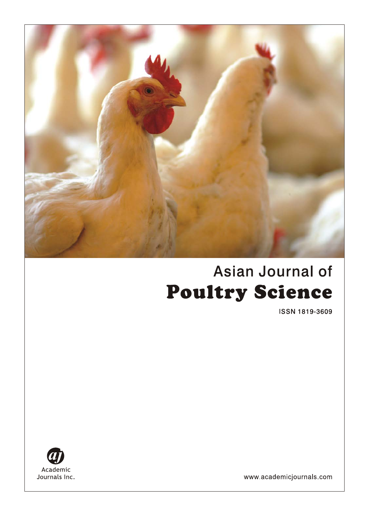

# Asian Journal of **Poultry Science**

ISSN 1819-3609



www.academicjournals.com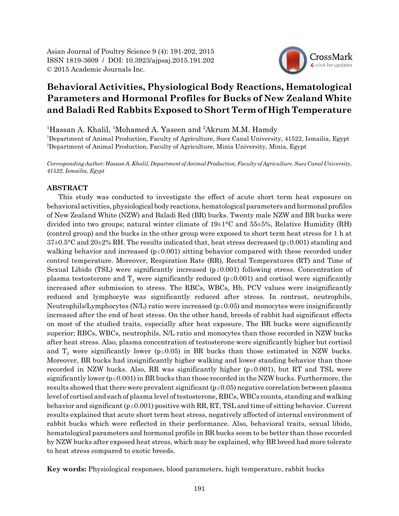Asian Journal of Poultry Science 9 (4): 191-202, 2015 ISSN 1819-3609 / DOI: 10.3923/ajpsaj.2015.191.202 © 2015 Academic Journals Inc.

## CrossMark click for update

### **Behavioral Activities, Physiological Body Reactions, Hematological Parameters and Hormonal Profiles for Bucks of New Zealand White and Baladi Red Rabbits Exposed to Short Term of High Temperature**

<sup>1</sup>Hassan A. Khalil, <sup>1</sup>Mohamed A. Yaseen and <sup>2</sup>Akrum M.M. Hamdy 1 Department of Animal Production, Faculty of Agriculture, Suez Canal University, 41522, Ismailia, Egypt 2 Department of Animal Production, Faculty of Agriculture, Minia University, Minia, Egypt

*Corresponding Author: Hassan A. Khalil, Department of Animal Production, Faculty of Agriculture, Suez Canal University, 41522, Ismailia, Egypt*

#### **ABSTRACT**

This study was conducted to investigate the effect of acute short term heat exposure on behavioral activities, physiological body reactions, hematological parameters and hormonal profiles of New Zealand White (NZW) and Baladi Red (BR) bucks. Twenty male NZW and BR bucks were divided into two groups; natural winter climate of  $19\pm1\textdegree C$  and  $55\pm5\%$ , Relative Humidity (RH) (control group) and the bucks in the other group were exposed to short term heat stress for 1 h at  $37\pm0.5^{\circ}$ C and  $20\pm2\%$  RH. The results indicated that, heat stress decreased (p  $\leq 0.001$ ) standing and walking behavior and increased ( $p \le 0.001$ ) sitting behavior compared with these recorded under control temperature. Moreover, Respiration Rate (RR), Rectal Temperatures (RT) and Time of Sexual Libido (TSL) were significantly increased  $(p \le 0.001)$  following stress. Concentration of plasma testosterone and  $T_3$  were significantly reduced (p  $\leq$  0.001) and cortisol were significantly increased after submission to stress. The RBCs, WBCs, Hb, PCV values were insignificantly reduced and lymphocyte was significantly reduced after stress. In contrast, neutrophils, Neutrophils/Lymphocytes (N/L) ratio were increased ( $p \le 0.05$ ) and monocytes were insignificantly increased after the end of heat stress. On the other hand, breeds of rabbit had significant effects on most of the studied traits, especially after heat exposure. The BR bucks were significantly superior; RBCs, WBCs, neutrophils, N/L ratio and monocytes than those recorded in NZW bucks after heat stress. Also, plasma concentration of testosterone were significantly higher but cortisol and  $T_3$  were significantly lower (p  $\leq$  0.05) in BR bucks than those estimated in NZW bucks. Moreover, BR bucks had insignificantly higher walking and lower standing behavior than those recorded in NZW bucks. Also, RR was significantly higher ( $p \le 0.001$ ), but RT and TSL were significantly lower ( $p \le 0.001$ ) in BR bucks than those recorded in the NZW bucks. Furthermore, the results showed that there were prevalent significant  $(p \le 0.05)$  negative correlation between plasma level of cortisol and each of plasma level of testosterone, RBCs, WBCs counts, standing and walking behavior and significant  $(p \le 0.001)$  positive with RR, RT, TSL and time of sitting behavior. Current results explained that acute short term heat stress, negatively affected of internal environment of rabbit bucks which were reflected in their performance. Also, behavioral traits, sexual libido, hematological parameters and hormonal profile in BR bucks seem to be better than those recorded by NZW bucks after exposed heat stress, which may be explained, why BR breed had more tolerate to heat stress compared to exotic breeds.

**Key words:** Physiological responses, blood parameters, high temperature, rabbit bucks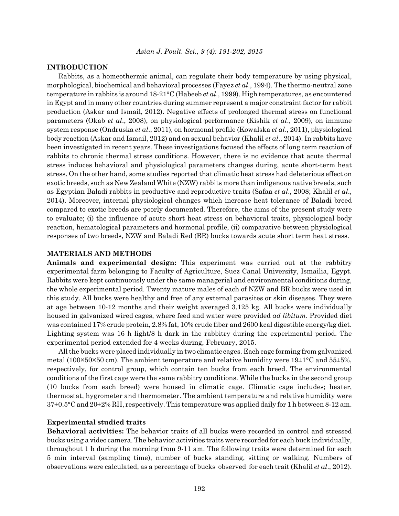#### **INTRODUCTION**

Rabbits, as a homeothermic animal, can regulate their body temperature by using physical, morphological, biochemical and behavioral processes (Fayez *et al*., 1994). The thermo-neutral zone temperature in rabbits is around 18-21°C (Habeeb *et al*., 1999). High temperatures, as encountered in Egypt and in many other countries during summer represent a major constraint factor for rabbit production (Askar and Ismail, 2012). Negative effects of prolonged thermal stress on functional parameters (Okab *et al*., 2008), on physiological performance (Kishik *et al*., 2009), on immune system response (Ondruska *et al*., 2011), on hormonal profile (Kowalska *et al*., 2011), physiological body reaction (Askar and Ismail, 2012) and on sexual behavior (Khalil *et al*., 2014). In rabbits have been investigated in recent years. These investigations focused the effects of long term reaction of rabbits to chronic thermal stress conditions. However, there is no evidence that acute thermal stress induces behavioral and physiological parameters changes during, acute short-term heat stress. On the other hand, some studies reported that climatic heat stress had deleterious effect on exotic breeds, such as New Zealand White (NZW) rabbits more than indigenous native breeds, such as Egyptian Baladi rabbits in productive and reproductive traits (Safaa *et al*., 2008; Khalil *et al*., 2014). Moreover, internal physiological changes which increase heat tolerance of Baladi breed compared to exotic breeds are poorly documented. Therefore, the aims of the present study were to evaluate; (i) the influence of acute short heat stress on behavioral traits, physiological body reaction, hematological parameters and hormonal profile, (ii) comparative between physiological responses of two breeds, NZW and Baladi Red (BR) bucks towards acute short term heat stress.

#### **MATERIALS AND METHODS**

**Animals and experimental design:** This experiment was carried out at the rabbitry experimental farm belonging to Faculty of Agriculture, Suez Canal University, Ismailia, Egypt. Rabbits were kept continuously under the same managerial and environmental conditions during, the whole experimental period. Twenty mature males of each of NZW and BR bucks were used in this study. All bucks were healthy and free of any external parasites or skin diseases. They were at age between 10-12 months and their weight averaged 3.125 kg. All bucks were individually housed in galvanized wired cages, where feed and water were provided *ad libitum*. Provided diet was contained 17% crude protein, 2.8% fat, 10% crude fiber and 2600 kcal digestible energy/kg diet. Lighting system was 16 h light/8 h dark in the rabbitry during the experimental period. The experimental period extended for 4 weeks during, February, 2015.

All the bucks were placed individually in two climatic cages. Each cage forming from galvanized metal (100×50×50 cm). The ambient temperature and relative humidity were  $19\pm1\textdegree C$  and  $55\pm5\%$ , respectively, for control group, which contain ten bucks from each breed. The environmental conditions of the first cage were the same rabbitry conditions. While the bucks in the second group (10 bucks from each breed) were housed in climatic cage. Climatic cage includes; heater, thermostat, hygrometer and thermometer. The ambient temperature and relative humidity were 37±0.5°C and 20±2% RH, respectively. This temperature was applied daily for 1 h between 8-12 am.

#### **Experimental studied traits**

**Behavioral activities:** The behavior traits of all bucks were recorded in control and stressed bucks using a video camera. The behavior activities traits were recorded for each buck individually, throughout 1 h during the morning from 9-11 am. The following traits were determined for each 5 min interval (sampling time), number of bucks standing, sitting or walking. Numbers of observations were calculated, as a percentage of bucks observed for each trait (Khalil *et al*., 2012).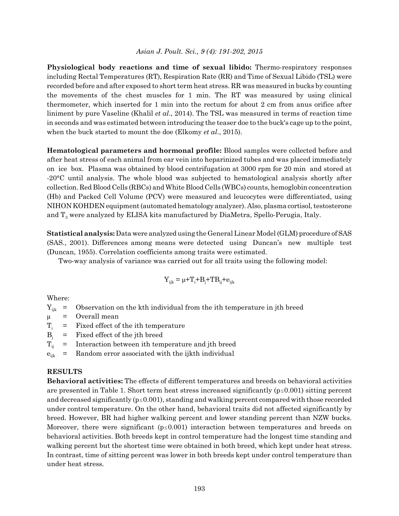**Physiological body reactions and time of sexual libido:** Thermo-respiratory responses including Rectal Temperatures (RT), Respiration Rate (RR) and Time of Sexual Libido (TSL) were recorded before and after exposed to short term heat stress. RR was measured in bucks by counting the movements of the chest muscles for 1 min. The RT was measured by using clinical thermometer, which inserted for 1 min into the rectum for about 2 cm from anus orifice after liniment by pure Vaseline (Khalil *et al*., 2014). The TSL was measured in terms of reaction time in seconds and was estimated between introducing the teaser doe to the buck's cage up to the point, when the buck started to mount the doe (Elkomy *et al*., 2015).

**Hematological parameters and hormonal profile:** Blood samples were collected before and after heat stress of each animal from ear vein into heparinized tubes and was placed immediately on ice box. Plasma was obtained by blood centrifugation at 3000 rpm for 20 min and stored at -20°C until analysis. The whole blood was subjected to hematological analysis shortly after collection. Red Blood Cells (RBCs) and White Blood Cells (WBCs) counts, hemoglobin concentration (Hb) and Packed Cell Volume (PCV) were measured and leucocytes were differentiated, using NIHON KOHDEN equipment (automated hematology analyzer). Also, plasma cortisol, testosterone and  $T_3$  were analyzed by ELISA kits manufactured by DiaMetra, Spello-Perugia, Italy.

**Statistical analysis:** Data were analyzed using the General Linear Model (GLM) procedure of SAS (SAS., 2001). Differences among means were detected using Duncan's new multiple test (Duncan, 1955). Correlation coefficients among traits were estimated.

Two-way analysis of variance was carried out for all traits using the following model:

$$
Y_{ijk} = \mu + T_i + B_j + T B_{ij} + e_{ijk}
$$

Where:

 $Y_{ijk}$  = Observation on the kth individual from the ith temperature in jth breed

 $\mu$  = Overall mean

 $T_i$  = Fixed effect of the ith temperature

 $B_i$  = Fixed effect of the jth breed

 $T_{ii}$  = Interaction between ith temperature and jth breed

 $e_{ijk}$  = Random error associated with the ijkth individual

#### **RESULTS**

**Behavioral activities:** The effects of different temperatures and breeds on behavioral activities are presented in Table 1. Short term heat stress increased significantly  $(p \le 0.001)$  sitting percent and decreased significantly ( $p \le 0.001$ ), standing and walking percent compared with those recorded under control temperature. On the other hand, behavioral traits did not affected significantly by breed. However, BR had higher walking percent and lower standing percent than NZW bucks. Moreover, there were significant  $(p \le 0.001)$  interaction between temperatures and breeds on behavioral activities. Both breeds kept in control temperature had the longest time standing and walking percent but the shortest time were obtained in both breed, which kept under heat stress. In contrast, time of sitting percent was lower in both breeds kept under control temperature than under heat stress.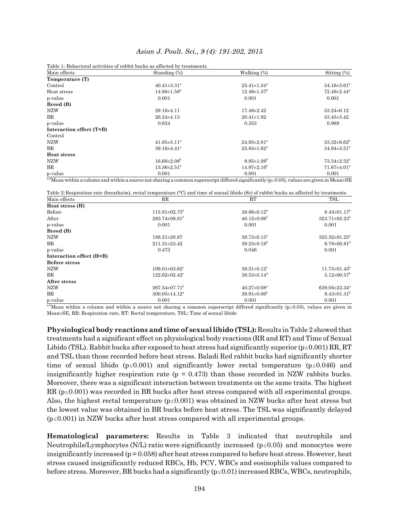| Table 1: Behavioral activities of rabbit bucks as affected by treatments |                               |                               |                               |  |  |  |  |
|--------------------------------------------------------------------------|-------------------------------|-------------------------------|-------------------------------|--|--|--|--|
| Main effects                                                             | Standing $(\%)$               | Walking (%)                   | Sitting $(\%)$                |  |  |  |  |
| Temperature (T)                                                          |                               |                               |                               |  |  |  |  |
| Control                                                                  | $40.41 \pm 3.31$ <sup>a</sup> | $25.41 \pm 1.54$ <sup>a</sup> | $34.16 \pm 3.61^{\rm b}$      |  |  |  |  |
| Heat stress                                                              | $14.98 \pm 1.58^{\rm b}$      | $12.49 \pm 1.37$ <sup>b</sup> | $72.49 \pm 2.44$ <sup>a</sup> |  |  |  |  |
| p-value                                                                  | 0.001                         | 0.001                         | 0.001                         |  |  |  |  |
| Breed (B)                                                                |                               |                               |                               |  |  |  |  |
| <b>NZW</b>                                                               | $29.16 \pm 4.11$              | $17.49 \pm 2.42$              | $53.24 \pm 6.12$              |  |  |  |  |
| BR                                                                       | $26.24 \pm 4.13$              | $20.41 \pm 1.92$              | $53.45 \pm 5.42$              |  |  |  |  |
| p-value                                                                  | 0.624                         | 0.353                         | 0.989                         |  |  |  |  |
| Interaction effect (T×B)                                                 |                               |                               |                               |  |  |  |  |
| Control                                                                  |                               |                               |                               |  |  |  |  |
| <b>NZW</b>                                                               | $41.65 \pm 5.11^{\circ}$      | $24.95 \pm 2.81$ <sup>a</sup> | $33.32 \pm 6.62^{\rm b}$      |  |  |  |  |
| $_{\rm BR}$                                                              | $39.16 \pm 4.41$ <sup>a</sup> | $25.83 \pm 1.62^a$            | $34.94 \pm 3.51^{\rm b}$      |  |  |  |  |
| <b>Heat stress</b>                                                       |                               |                               |                               |  |  |  |  |
| <b>NZW</b>                                                               | $16.68 \pm 2.08^{\rm b}$      | $9.95 \pm 1.09^{\rm b}$       | $73.34 \pm 2.52$ <sup>a</sup> |  |  |  |  |
| $_{\rm BR}$                                                              | $13.36 \pm 2.51^{\circ}$      | $14.97 \pm 2.16^{\circ}$      | $71.67 \pm 4.01$ <sup>a</sup> |  |  |  |  |
| p-value                                                                  | 0.001                         | 0.001                         | 0.001                         |  |  |  |  |

<sup>a,b</sup>Mean within a column and within a source not sharing a common superscript differed significantly (p  $\leq 0.05$ ), values are given in Mean $\pm$ SE

Table 2:Respiration rate (breaths/m), rectal temperature (°C) and time of sexual libido (Sc) of rabbit bucks as affected by treatments Main effects **RR** RT TSL

|                                 |                               | 1 D.L                           |
|---------------------------------|-------------------------------|---------------------------------|
|                                 |                               |                                 |
| $115.81 \pm 02.75^{\rm b}$      | $38.86 \pm 0.12^b$            | $8.43 \pm 01.17^b$              |
| $283.74 \pm 08.81^a$            | $40.12 \pm 0.06^a$            | 323.71±82.23 <sup>a</sup>       |
| 0.001                           | 0.001                         | 0.001                           |
|                                 |                               |                                 |
| 188.21±20.87                    | $39.73 \pm 0.15^{\circ}$      | $325.32 \pm 81.25^{\circ}$      |
| $211.31 \pm 23.42$              | $39.23 \pm 0.18^{\rm b}$      | $6.78 \pm 00.81^{\rm b}$        |
| 0.473                           | 0.046                         | 0.001                           |
|                                 |                               |                                 |
|                                 |                               |                                 |
| $109.01 \pm 03.62$ <sup>c</sup> | $39.21 \pm 0.12$ <sup>c</sup> | $11.75 \pm 01.43^b$             |
| $122.62 \pm 02.42$ <sup>c</sup> | $38.53 \pm 0.14$ <sup>d</sup> | $5.12 \pm 00.57^{\rm b}$        |
|                                 |                               |                                 |
| $267.54 \pm 07.71^{\mathrm{b}}$ | $40.27 \pm 0.08^{\mathrm{a}}$ | $639.05 \pm 23.34$ <sup>a</sup> |
| $300.05 \pm 14.12^a$            | $39.91 \pm 0.06^{\rm b}$      | $8.43 \pm 01.31^b$              |
| 0.001                           | 0.001                         | 0.001                           |
|                                 | nn                            | $\mathbf{u}$                    |

<sup>a,b</sup>Mean within a column and within a source not sharing a common superscript differed significantly ( $p \le 0.05$ ), values are given in Mean±SE, RR: Respiration rate, RT: Rectal temperature, TSL: Time of sexual libido

**Physiological body reactions and time of sexual libido (TSL):** Results in Table 2 showed that treatments had a significant effect on physiological body reactions (RR and RT) and Time of Sexual Libido (TSL). Rabbit bucks after exposed to heat stress had significantly superior ( $p \le 0.001$ ) RR, RT and TSL than those recorded before heat stress. Baladi Red rabbit bucks had significantly shorter time of sexual libido ( $p \le 0.001$ ) and significantly lower rectal temperature ( $p \le 0.046$ ) and insignificantly higher respiration rate ( $p = 0.473$ ) than those recorded in NZW rabbits bucks. Moreover, there was a significant interaction between treatments on the same traits. The highest RR ( $p \le 0.001$ ) was recorded in BR bucks after heat stress compared with all experimental groups. Also, the highest rectal temperature  $(p \le 0.001)$  was obtained in NZW bucks after heat stress but the lowest value was obtained in BR bucks before heat stress. The TSL was significantly delayed  $(p \le 0.001)$  in NZW bucks after heat stress compared with all experimental groups.

**Hematological parameters:** Results in Table 3 indicated that neutrophils and Neutrophils/Lymphocytes (N/L) ratio were significantly increased ( $p \le 0.05$ ) and monocytes were insignificantly increased  $(p = 0.058)$  after heat stress compared to before heat stress. However, heat stress caused insignificantly reduced RBCs, Hb, PCV, WBCs and eosinophils values compared to before stress. Moreover, BR bucks had a significantly  $(p \le 0.01)$  increased RBCs, WBCs, neutrophils,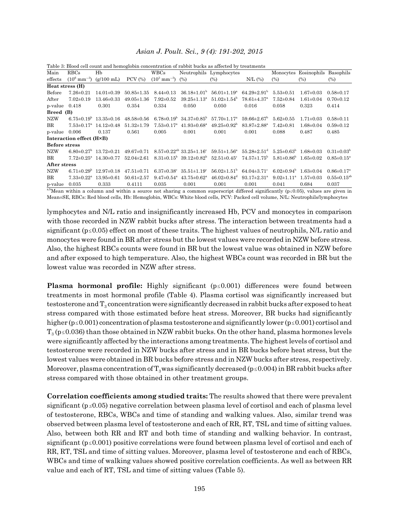| Main                 | RBCs                         | Hb                                         |                                  | WBCs                         |                                                             | Neutrophils Lymphocytes                                                                                                                                                                        |                               |                                      | Monocytes Eosinophils Basophils |                              |
|----------------------|------------------------------|--------------------------------------------|----------------------------------|------------------------------|-------------------------------------------------------------|------------------------------------------------------------------------------------------------------------------------------------------------------------------------------------------------|-------------------------------|--------------------------------------|---------------------------------|------------------------------|
| effects              |                              | $(10^6 \text{ mm}^{-3})$ (g/100 mL)        | $PCV$ $(\%)$                     | $(10^3 \text{ mm}^{-3})$     | (%)                                                         | (%)                                                                                                                                                                                            | $N/L$ $(\%)$                  | (%)                                  | (%)                             | $(\%)$                       |
| Heat stress (H)      |                              |                                            |                                  |                              |                                                             |                                                                                                                                                                                                |                               |                                      |                                 |                              |
| Before               | $7.26 \pm 0.21$              | $14.01\pm0.39$                             | $50.85 \pm 1.35$ $8.44 \pm 0.13$ |                              | $36.18\pm1.01^{\rm b}$                                      | $56.01 \pm 1.19^{\rm a}$                                                                                                                                                                       | $64.29 \pm 2.91$ <sup>b</sup> | $5.53\pm0.51$                        | $1.67 \pm 0.03$                 | $0.58 \pm 0.17$              |
| After                | $7.02 \pm 0.19$              | $13.46 \pm 0.33$                           | $49.05 \pm 1.36$                 | $7.92 \pm 0.52$              | $39.25 \pm 1.13^{\circ}$                                    | $51.02 \pm 1.54$ <sup>b</sup>                                                                                                                                                                  | $78.61 \pm 4.37$ <sup>a</sup> | $7.52 \pm 0.84$                      | $1.61 \pm 0.04$                 | $0.70 \pm 0.12$              |
| $p-value$ 0.418      |                              | 0.301                                      | 0.354                            | 0.334                        | 0.050                                                       | 0.050                                                                                                                                                                                          | 0.016                         | 0.058                                | 0.323                           | 0.414                        |
| Breed (B)            |                              |                                            |                                  |                              |                                                             |                                                                                                                                                                                                |                               |                                      |                                 |                              |
| NZW                  |                              | $6.75 \pm 0.19^{\circ}$ 13.35 $\pm 0.16$   |                                  |                              | $48.58\pm0.56$ $6.78\pm0.19^{\circ}$ $34.37\pm0.85^{\circ}$ | $57.70 \pm 1.17$ <sup>a</sup>                                                                                                                                                                  | $59.66 \pm 2.67$ <sup>b</sup> | $5.62 \pm 0.55$                      | $1.71 \pm 0.03$                 | $0.58 \pm 0.11$              |
| BR                   |                              | $7.53\pm0.17^{\mathrm{a}}$ 14.12 $\pm0.48$ | $51.32 \pm 1.79$                 | $7.53 \pm 0.17$ <sup>a</sup> | $41.93\pm0.68^{\mathrm{a}}$                                 | $49.25 \pm 0.92^{\circ}$                                                                                                                                                                       | $83.87 \pm 2.88^{\mathrm{a}}$ | $7.42 \pm 0.81$                      | $1.68 \pm 0.04$                 | $0.59 \pm 0.12$              |
| $p-value$ 0.006      |                              | 0.137                                      | 0.561                            | 0.005                        | 0.001                                                       | 0.001                                                                                                                                                                                          | 0.001                         | 0.088                                | 0.487                           | 0.485                        |
|                      | Interaction effect (H×B)     |                                            |                                  |                              |                                                             |                                                                                                                                                                                                |                               |                                      |                                 |                              |
| <b>Before stress</b> |                              |                                            |                                  |                              |                                                             |                                                                                                                                                                                                |                               |                                      |                                 |                              |
| <b>NZW</b>           |                              |                                            |                                  |                              |                                                             | $6.80\pm0.27^b$ 13.72 $\pm$ 0.21 49.67 $\pm$ 0.71 8.57 $\pm$ 0.22 <sup>ab</sup> 33.25 $\pm$ 1.16° 59.51 $\pm$ 1.56° 55.28 $\pm$ 2.51 <sup>d</sup> 5.25 $\pm$ 0.63 <sup>b</sup> 1.68 $\pm$ 0.03 |                               |                                      |                                 | $0.31 \pm 0.03^{\circ}$      |
| BR                   |                              |                                            |                                  |                              |                                                             | $7.72\pm0.25^a$ $14.30\pm0.77$ $52.04\pm2.61$ $8.31\pm0.15^b$ $39.12\pm0.82^b$ $52.51\pm0.45^c$ $74.57\pm1.75^b$ $5.81\pm0.86^b$ $1.65\pm0.02$                                                 |                               |                                      |                                 | $0.85 \pm 0.15^{\circ}$      |
| After stress         |                              |                                            |                                  |                              |                                                             |                                                                                                                                                                                                |                               |                                      |                                 |                              |
| <b>NZW</b>           |                              | $6.71 \pm 0.29^{\circ}$ 12.97 $\pm 0.18$   | $47.51 \pm 0.71$                 | $6.37 \pm 0.38$ <sup>c</sup> | $35.51 \pm 1.19^{\circ}$                                    | $56.02 \pm 1.51$ <sup>b</sup>                                                                                                                                                                  | $64.04 \pm 3.71$ <sup>c</sup> | $6.02\pm0.94^{\circ}$ 1.63 $\pm0.04$ |                                 | $0.86 \pm 0.17$ <sup>a</sup> |
| $_{\rm BR}$          | $7.33 \pm 0.22^{\mathrm{a}}$ | $13.95 \pm 0.61$                           | $50.61 \pm 2.57$                 | $9.47 \pm 0.54$ <sup>a</sup> | $43.75 \pm 0.62^{\mathrm{a}}$                               | $46.02 \pm 0.84$ <sup>d</sup>                                                                                                                                                                  | $93.17 \pm 2.31$ <sup>a</sup> | $9.02 \pm 1.11$ <sup>a</sup>         | $1.57 \pm 0.03$                 | $0.55 \pm 0.15^{ab}$         |
| p-value              | 0.035                        | 0.333                                      | 0.4111                           | 0.035                        | 0.001                                                       | 0.001                                                                                                                                                                                          | 0.001                         | 0.041                                | 0.684                           | 0.037                        |

Table 3: Blood cell count and hemoglobin concentration of rabbit bucks as affected by treatments

 $b$ Mean within a column and within a source not sharing a common superscript differed significantly ( $p \le 0.05$ ), values are given in Mean±SE, RBCs: Red blood cells, Hb: Hemoglobin, WBCs: White blood cells, PCV: Packed cell volume, N/L: Neutrophils/lymphocytes

lymphocytes and N/L ratio and insignificantly increased Hb, PCV and monocytes in comparison with those recorded in NZW rabbit bucks after stress. The interaction between treatments had a significant ( $p \le 0.05$ ) effect on most of these traits. The highest values of neutrophils, N/L ratio and monocytes were found in BR after stress but the lowest values were recorded in NZW before stress. Also, the highest RBCs counts were found in BR but the lowest value was obtained in NZW before and after exposed to high temperature. Also, the highest WBCs count was recorded in BR but the lowest value was recorded in NZW after stress.

**Plasma hormonal profile:** Highly significant  $(p \le 0.001)$  differences were found between treatments in most hormonal profile (Table 4). Plasma cortisol was significantly increased but testosterone and  $T_3$  concentration were significantly decreased in rabbit bucks after exposed to heat stress compared with those estimated before heat stress. Moreover, BR bucks had significantly higher ( $p \le 0.001$ ) concentration of plasma testosterone and significantly lower ( $p \le 0.001$ ) cortisol and  $T_3$  ( $p \le 0.036$ ) than those obtained in NZW rabbit bucks. On the other hand, plasma hormones levels were significantly affected by the interactions among treatments. The highest levels of cortisol and testosterone were recorded in NZW bucks after stress and in BR bucks before heat stress, but the lowest values were obtained in BR bucks before stress and in NZW bucks after stress, respectively. Moreover, plasma concentration of  $T_3$  was significantly decreased ( $p \le 0.004$ ) in BR rabbit bucks after stress compared with those obtained in other treatment groups.

**Correlation coefficients among studied traits:** The results showed that there were prevalent significant ( $p \le 0.05$ ) negative correlation between plasma level of cortisol and each of plasma level of testosterone, RBCs, WBCs and time of standing and walking values. Also, similar trend was observed between plasma level of testosterone and each of RR, RT, TSL and time of sitting values. Also, between both RR and RT and both time of standing and walking behavior. In contrast, significant ( $p \le 0.001$ ) positive correlations were found between plasma level of cortisol and each of RR, RT, TSL and time of sitting values. Moreover, plasma level of testosterone and each of RBCs, WBCs and time of walking values showed positive correlation coefficients. As well as between RR value and each of RT, TSL and time of sitting values (Table 5).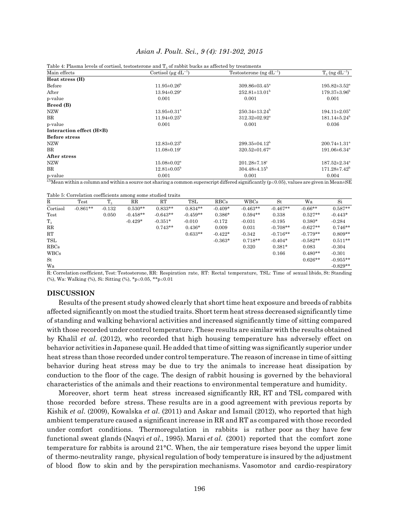| Asian J. Poult. Sci., 9 (4): 191-202, 2015 |  |  |  |  |  |  |  |
|--------------------------------------------|--|--|--|--|--|--|--|
|--------------------------------------------|--|--|--|--|--|--|--|

|                          | Table 4: Plasma levels of cortisol, testosterone and $T_a$ of rabbit bucks as affected by treatments |                                 |                                |  |
|--------------------------|------------------------------------------------------------------------------------------------------|---------------------------------|--------------------------------|--|
| Main effects             | Cortisol ( $\mu$ g dL <sup>-1</sup> )                                                                | Testosterone (ng $dL^{-1}$ )    | $T_3$ (ng $dL^{-1}$ )          |  |
| Heat stress (H)          |                                                                                                      |                                 |                                |  |
| Before                   | $11.95 \pm 0.26^{\circ}$                                                                             | $309.86 \pm 03.45^{\circ}$      | $195.82 \pm 3.52^{\mathrm{a}}$ |  |
| After                    | $13.94 \pm 0.29$ <sup>a</sup>                                                                        | $252.81 \pm 13.01^b$            | $179.37\pm3.96^{\rm b}$        |  |
| p-value                  | 0.001                                                                                                | 0.001                           | 0.001                          |  |
| Breed (B)                |                                                                                                      |                                 |                                |  |
| NZW                      | $13.95 \pm 0.31$ <sup>a</sup>                                                                        | $250.34 \pm 13.24$ <sup>b</sup> | $194.11 \pm 2.05^a$            |  |
| BR                       | $11.94 \pm 0.25^{\rm b}$                                                                             | $312.32 \pm 02.92^a$            | $181.14\pm5.24^{\rm b}$        |  |
| p-value                  | 0.001                                                                                                | 0.001                           | 0.036                          |  |
| Interaction effect (H×B) |                                                                                                      |                                 |                                |  |
| <b>Before stress</b>     |                                                                                                      |                                 |                                |  |
| <b>NZW</b>               | $12.83 \pm 0.23^{\rm b}$                                                                             | $299.35 \pm 04.12^b$            | $200.74 \pm 1.31$ <sup>a</sup> |  |
| BR                       | $11.08 \pm 0.19$ <sup>c</sup>                                                                        | $320.52 \pm 01.67$ <sup>a</sup> | $191.06 \pm 6.34$ <sup>a</sup> |  |
| After stress             |                                                                                                      |                                 |                                |  |
| <b>NZW</b>               | $15.08 \pm 0.02$ <sup>a</sup>                                                                        | $201.28 \pm 7.18$ <sup>c</sup>  | $187.52 \pm 2.34$ <sup>a</sup> |  |
| BR                       | $12.81 \pm 0.05^{\rm b}$                                                                             | $304.48 \pm 4.15^{\rm b}$       | $171.28 \pm 7.42^b$            |  |
| p-value                  | 0.001                                                                                                | 0.001                           | 0.004                          |  |

<sup>a,b</sup>Mean within a column and within a source not sharing a common superscript differed significantly (p < 0.05), values are given in Mean $\pm$ SE

Table 5: Correlation coefficients among some studied traits

| $_{\rm R}$  | Test       | m        | Table of Correlation coefficients among come cratted trans<br>$_{\rm RR}$ | RT         | TSL        | RBCs      | <b>WBCs</b> | St         | Wa         | Si         |
|-------------|------------|----------|---------------------------------------------------------------------------|------------|------------|-----------|-------------|------------|------------|------------|
| Cortisol    | $-0.861**$ | $-0.132$ | $0.530**$                                                                 | $0.833**$  | $0.834**$  | $-0.409*$ | $-0.463**$  | $-0.467**$ | $-0.66**$  | $0.587**$  |
| Test        |            | 0.050    | $-0.458**$                                                                | $-0.643**$ | $-0.459**$ | $0.386*$  | $0.594**$   | 0.338      | $0.527**$  | $-0.443*$  |
| $T_{3}$     |            |          | $-0.429*$                                                                 | $-0.351*$  | $-0.010$   | $-0.172$  | $-0.031$    | $-0.195$   | $0.380*$   | $-0.284$   |
| $_{\rm RR}$ |            |          |                                                                           | $0.743**$  | $0.436*$   | 0.009     | 0.031       | $-0.708**$ | $-0.627**$ | $0.746**$  |
| RT          |            |          |                                                                           |            | $0.633**$  | $-0.422*$ | $-0.342$    | $-0.716**$ | $-0.779**$ | $0.809**$  |
| TSL         |            |          |                                                                           |            |            | $-0.363*$ | $0.718**$   | $-0.404*$  | $-0.582**$ | $0.511**$  |
| <b>RBCs</b> |            |          |                                                                           |            |            |           | 0.320       | $0.381*$   | 0.083      | $-0.304$   |
| <b>WBCs</b> |            |          |                                                                           |            |            |           |             | 0.166      | $0.480**$  | $-0.301$   |
| St          |            |          |                                                                           |            |            |           |             |            | $0.626**$  | $-0.955**$ |
| Wa          |            |          |                                                                           |            |            |           |             |            |            | $-0.829**$ |

R: Correlation coefficient, Test: Testosterone, RR: Respiration rate, RT: Rectal temperature, TSL: Time of sexual libido, St: Standing (%), Wa: Walking (%), Si: Sitting (%), \*p ≤0.05, \*\*p ≤0.01

#### **DISCUSSION**

Results of the present study showed clearly that short time heat exposure and breeds of rabbits affected significantly on most the studied traits. Short term heat stress decreased significantly time of standing and walking behavioral activities and increased significantly time of sitting compared with those recorded under control temperature. These results are similar with the results obtained by Khalil *et al*. (2012), who recorded that high housing temperature has adversely effect on behavior activities in Japanese quail. He added that time of sitting was significantly superior under heat stress than those recorded under control temperature. The reason of increase in time of sitting behavior during heat stress may be due to try the animals to increase heat dissipation by conduction to the floor of the cage. The design of rabbit housing is governed by the behavioral characteristics of the animals and their reactions to environmental temperature and humidity.

Moreover, short term heat stress increased significantly RR, RT and TSL compared with those recorded before stress. These results are in a good agreement with previous reports by Kishik *et al*. (2009), Kowalska *et al*. (2011) and Askar and Ismail (2012), who reported that high ambient temperature caused a significant increase in RR and RT as compared with those recorded under comfort conditions. Thermoregulation in rabbits is rather poor as they have few functional sweat glands (Naqvi *et al*., 1995). Marai *et al*. (2001) reported that the comfort zone temperature for rabbits is around 21°C. When, the air temperature rises beyond the upper limit of thermo-neutrality range, physical regulation of body temperature is insured by the adjustment of blood flow to skin and by the perspiration mechanisms. Vasomotor and cardio-respiratory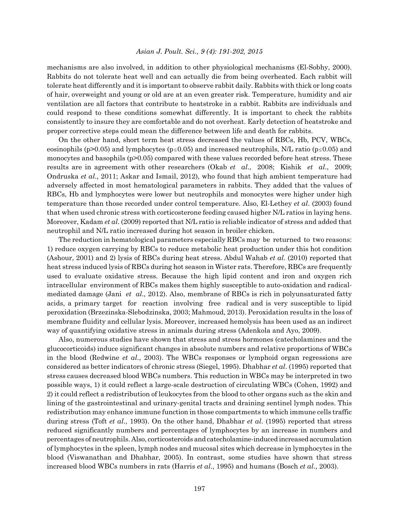mechanisms are also involved, in addition to other physiological mechanisms (El-Sobhy, 2000). Rabbits do not tolerate heat well and can actually die from being overheated. Each rabbit will tolerate heat differently and it is important to observe rabbit daily. Rabbits with thick or long coats of hair, overweight and young or old are at an even greater risk. Temperature, humidity and air ventilation are all factors that contribute to heatstroke in a rabbit. Rabbits are individuals and could respond to these conditions somewhat differently. It is important to check the rabbits consistently to insure they are comfortable and do not overheat. Early detection of heatstroke and proper corrective steps could mean the difference between life and death for rabbits.

On the other hand, short term heat stress decreased the values of RBCs, Hb, PCV, WBCs, eosinophils (p>0.05) and lymphocytes (p of 0.05) and increased neutrophils, N/L ratio (p of 0.05) and monocytes and basophils  $(p>0.05)$  compared with these values recorded before heat stress. These results are in agreement with other researchers (Okab *et al*., 2008; Kishik *et al*., 2009; Ondruska *et al*., 2011; Askar and Ismail, 2012), who found that high ambient temperature had adversely affected in most hematological parameters in rabbits. They added that the values of RBCs, Hb and lymphocytes were lower but neutrophils and monocytes were higher under high temperature than those recorded under control temperature. Also, El-Lethey *et al*. (2003) found that when used chronic stress with corticosterone feeding caused higher N/L ratios in laying hens. Moreover, Kadam *et al*. (2009) reported that N/L ratio is reliable indicator of stress and added that neutrophil and N/L ratio increased during hot season in broiler chicken.

The reduction in hematological parameters especially RBCs may be returned to two reasons: 1) reduce oxygen carrying by RBCs to reduce metabolic heat production under this hot condition (Ashour, 2001) and 2) lysis of RBCs during heat stress. Abdul Wahab *et al*. (2010) reported that heat stress induced lysis of RBCs during hot season in Wister rats. Therefore, RBCs are frequently used to evaluate oxidative stress. Because the high lipid content and iron and oxygen rich intracellular environment of RBCs makes them highly susceptible to auto-oxidation and radicalmediated damage (Jani *et al*., 2012). Also, membrane of RBCs is rich in polyunsaturated fatty acids, a primary target for reaction involving free radical and is very susceptible to lipid peroxidation (Brzezinska-Slebodzinska, 2003; Mahmoud, 2013). Peroxidation results in the loss of membrane fluidity and cellular lysis. Moreover, increased hemolysis has been used as an indirect way of quantifying oxidative stress in animals during stress (Adenkola and Ayo, 2009).

Also, numerous studies have shown that stress and stress hormones (catecholamines and the glucocorticoids) induce significant changes in absolute numbers and relative proportions of WBCs in the blood (Redwine *et al*., 2003). The WBCs responses or lymphoid organ regressions are considered as better indicators of chronic stress (Siegel, 1995). Dhabhar *et al*. (1995) reported that stress causes decreased blood WBCs numbers. This reduction in WBCs may be interpreted in two possible ways, 1) it could reflect a large-scale destruction of circulating WBCs (Cohen, 1992) and 2) it could reflect a redistribution of leukocytes from the blood to other organs such as the skin and lining of the gastrointestinal and urinary-genital tracts and draining sentinel lymph nodes. This redistribution may enhance immune function in those compartments to which immune cells traffic during stress (Toft *et al*., 1993). On the other hand, Dhabhar *et al*. (1995) reported that stress reduced significantly numbers and percentages of lymphocytes by an increase in numbers and percentages of neutrophils. Also, corticosteroids and catecholamine-induced increased accumulation of lymphocytes in the spleen, lymph nodes and mucosal sites which decrease in lymphocytes in the blood (Viswanathan and Dhabhar, 2005). In contrast, some studies have shown that stress increased blood WBCs numbers in rats (Harris *et al*., 1995) and humans (Bosch *et al*., 2003).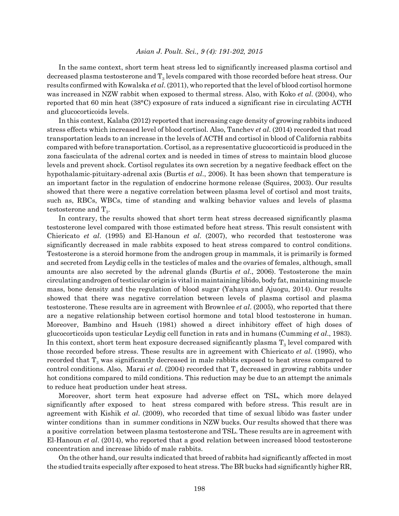In the same context, short term heat stress led to significantly increased plasma cortisol and decreased plasma testosterone and  $T_3$  levels compared with those recorded before heat stress. Our results confirmed with Kowalska *et al*. (2011), who reported that the level of blood cortisol hormone was increased in NZW rabbit when exposed to thermal stress. Also, with Koko *et al*. (2004), who reported that 60 min heat (38°C) exposure of rats induced a significant rise in circulating ACTH and glucocorticoids levels.

In this context, Kalaba (2012) reported that increasing cage density of growing rabbits induced stress effects which increased level of blood cortisol. Also, Tanchev *et al*. (2014) recorded that road transportation leads to an increase in the levels of ACTH and cortisol in blood of California rabbits compared with before transportation. Cortisol, as a representative glucocorticoid is produced in the zona fasciculata of the adrenal cortex and is needed in times of stress to maintain blood glucose levels and prevent shock. Cortisol regulates its own secretion by a negative feedback effect on the hypothalamic-pituitary-adrenal axis (Burtis *et al*., 2006). It has been shown that temperature is an important factor in the regulation of endocrine hormone release (Squires, 2003). Our results showed that there were a negative correlation between plasma level of cortisol and most traits, such as, RBCs, WBCs, time of standing and walking behavior values and levels of plasma testosterone and  $T_{3}$ .

In contrary, the results showed that short term heat stress decreased significantly plasma testosterone level compared with those estimated before heat stress. This result consistent with Chiericato *et al*. (1995) and El-Hanoun *et al*. (2007), who recorded that testosterone was significantly decreased in male rabbits exposed to heat stress compared to control conditions. Testosterone is a steroid hormone from the androgen group in mammals, it is primarily is formed and secreted from Leydig cells in the testicles of males and the ovaries of females, although, small amounts are also secreted by the adrenal glands (Burtis *et al*., 2006). Testosterone the main circulating androgen of testicular origin is vital in maintaining libido, body fat, maintaining muscle mass, bone density and the regulation of blood sugar (Yahaya and Ajuogu, 2014). Our results showed that there was negative correlation between levels of plasma cortisol and plasma testosterone. These results are in agreement with Brownlee *et al*. (2005), who reported that there are a negative relationship between cortisol hormone and total blood testosterone in human. Moreover, Bambino and Hsueh (1981) showed a direct inhibitory effect of high doses of glucocorticoids upon testicular Leydig cell function in rats and in humans (Cumming *et al*., 1983). In this context, short term heat exposure decreased significantly plasma  $T_3$  level compared with those recorded before stress. These results are in agreement with Chiericato *et al*. (1995), who recorded that  $T<sub>3</sub>$  was significantly decreased in male rabbits exposed to heat stress compared to control conditions. Also, Marai *et al.* (2004) recorded that  $T_a$  decreased in growing rabbits under hot conditions compared to mild conditions. This reduction may be due to an attempt the animals to reduce heat production under heat stress.

Moreover, short term heat exposure had adverse effect on TSL, which more delayed significantly after exposed to heat stress compared with before stress. This result are in agreement with Kishik *et al*. (2009), who recorded that time of sexual libido was faster under winter conditions than in summer conditions in NZW bucks. Our results showed that there was a positive correlation between plasma testosterone and TSL. These results are in agreement with El-Hanoun *et al*. (2014), who reported that a good relation between increased blood testosterone concentration and increase libido of male rabbits.

On the other hand, our results indicated that breed of rabbits had significantly affected in most the studied traits especially after exposed to heat stress. The BR bucks had significantly higher RR,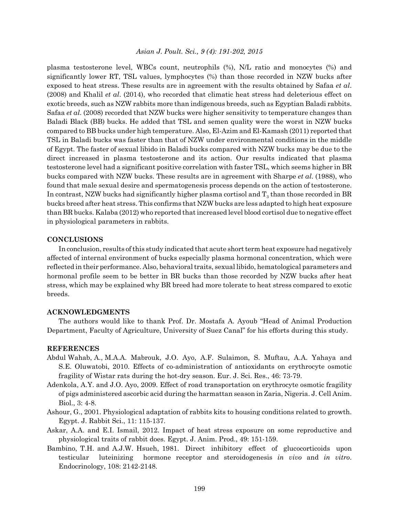plasma testosterone level, WBCs count, neutrophils (%), N/L ratio and monocytes (%) and significantly lower RT, TSL values, lymphocytes (%) than those recorded in NZW bucks after exposed to heat stress. These results are in agreement with the results obtained by Safaa *et al*. (2008) and Khalil *et al*. (2014), who recorded that climatic heat stress had deleterious effect on exotic breeds, such as NZW rabbits more than indigenous breeds, such as Egyptian Baladi rabbits. Safaa *et al*. (2008) recorded that NZW bucks were higher sensitivity to temperature changes than Baladi Black (BB) bucks. He added that TSL and semen quality were the worst in NZW bucks compared to BB bucks under high temperature. Also, El-Azim and El-Kamash (2011) reported that TSL in Baladi bucks was faster than that of NZW under environmental conditions in the middle of Egypt. The faster of sexual libido in Baladi bucks compared with NZW bucks may be due to the direct increased in plasma testosterone and its action. Our results indicated that plasma testosterone level had a significant positive correlation with faster TSL, which seems higher in BR bucks compared with NZW bucks. These results are in agreement with Sharpe *et al*. (1988), who found that male sexual desire and spermatogenesis process depends on the action of testosterone. In contrast, NZW bucks had significantly higher plasma cortisol and  $T_3$  than those recorded in BR bucks breed after heat stress. This confirms that NZW bucks are less adapted to high heat exposure than BR bucks. Kalaba (2012) who reported that increased level blood cortisol due to negative effect in physiological parameters in rabbits.

#### **CONCLUSIONS**

In conclusion, results of this study indicated that acute short term heat exposure had negatively affected of internal environment of bucks especially plasma hormonal concentration, which were reflected in their performance. Also, behavioral traits, sexual libido, hematological parameters and hormonal profile seem to be better in BR bucks than those recorded by NZW bucks after heat stress, which may be explained why BR breed had more tolerate to heat stress compared to exotic breeds.

#### **ACKNOWLEDGMENTS**

The authors would like to thank Prof. Dr. Mostafa A. Ayoub "Head of Animal Production Department, Faculty of Agriculture, University of Suez Canal" for his efforts during this study.

#### **REFERENCES**

- Abdul Wahab, A., M.A.A. Mabrouk, J.O. Ayo, A.F. Sulaimon, S. Muftau, A.A. Yahaya and S.E. Oluwatobi, 2010. Effects of co-administration of antioxidants on erythrocyte osmotic fragility of Wistar rats during the hot-dry season. Eur. J. Sci. Res., 46: 73-79.
- Adenkola, A.Y. and J.O. Ayo, 2009. Effect of road transportation on erythrocyte osmotic fragility of pigs administered ascorbic acid during the harmattan season in Zaria, Nigeria. J. Cell Anim. Biol., 3: 4-8.
- Ashour, G., 2001. Physiological adaptation of rabbits kits to housing conditions related to growth. Egypt. J. Rabbit Sci., 11: 115-137.
- Askar, A.A. and E.I. Ismail, 2012. Impact of heat stress exposure on some reproductive and physiological traits of rabbit does. Egypt. J. Anim. Prod., 49: 151-159.
- Bambino, T.H. and A.J.W. Hsueh, 1981. Direct inhibitory effect of glucocorticoids upon testicular luteinizing hormone receptor and steroidogenesis *in vivo* and *in vitro*. Endocrinology, 108: 2142-2148.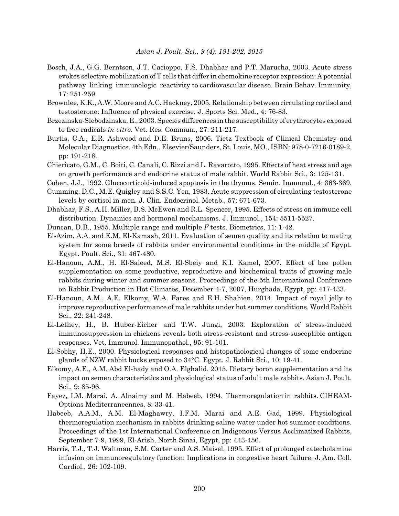- Bosch, J.A., G.G. Berntson, J.T. Cacioppo, F.S. Dhabhar and P.T. Marucha, 2003. Acute stress evokes selective mobilization of T cells that differ in chemokine receptor expression: A potential pathway linking immunologic reactivity to cardiovascular disease. Brain Behav. Immunity, 17: 251-259.
- Brownlee, K.K., A.W. Moore and A.C. Hackney, 2005. Relationship between circulating cortisol and testosterone: Influence of physical exercise. J. Sports Sci. Med., 4: 76-83.
- Brzezinska-Slebodzinska, E., 2003. Species differences in the susceptibility of erythrocytes exposed to free radicals *in vitro*. Vet. Res. Commun., 27: 211-217.
- Burtis, C.A., E.R. Ashwood and D.E. Bruns, 2006. Tietz Textbook of Clinical Chemistry and Molecular Diagnostics. 4th Edn., Elsevier/Saunders, St. Louis, MO., ISBN: 978-0-7216-0189-2, pp: 191-218.
- Chiericato, G.M., C. Boiti, C. Canali, C. Rizzi and L. Ravarotto, 1995. Effects of heat stress and age on growth performance and endocrine status of male rabbit. World Rabbit Sci., 3: 125-131.
- Cohen, J.J., 1992. Glucocorticoid-induced apoptosis in the thymus. Semin. Immunol., 4: 363-369.
- Cumming, D.C., M.E. Quigley and S.S.C. Yen, 1983. Acute suppression of circulating testosterone levels by cortisol in men. J. Clin. Endocrinol. Metab., 57: 671-673.
- Dhabhar, F.S., A.H. Miller, B.S. McEwen and R.L. Spencer, 1995. Effects of stress on immune cell distribution. Dynamics and hormonal mechanisms. J. Immunol., 154: 5511-5527.
- Duncan, D.B., 1955. Multiple range and multiple *F* tests. Biometrics, 11: 1-42.
- El-Azim, A.A. and E.M. El-Kamash, 2011. Evaluation of semen quality and its relation to mating system for some breeds of rabbits under environmental conditions in the middle of Egypt. Egypt. Poult. Sci., 31: 467-480.
- El-Hanoun, A.M., H. El-Saieed, M.S. El-Sbeiy and K.I. Kamel, 2007. Effect of bee pollen supplementation on some productive, reproductive and biochemical traits of growing male rabbits during winter and summer seasons. Proceedings of the 5th International Conference on Rabbit Production in Hot Climates, December 4-7, 2007, Hurghada, Egypt, pp: 417-433.
- El-Hanoun, A.M., A.E. Elkomy, W.A. Fares and E.H. Shahien, 2014. Impact of royal jelly to improve reproductive performance of male rabbits under hot summer conditions. World Rabbit Sci., 22: 241-248.
- El-Lethey, H., B. Huber-Eicher and T.W. Jungi, 2003. Exploration of stress-induced immunosuppression in chickens reveals both stress-resistant and stress-susceptible antigen responses. Vet. Immunol. Immunopathol., 95: 91-101.
- El-Sobhy, H.E., 2000. Physiological responses and histopathological changes of some endocrine glands of NZW rabbit bucks exposed to 34°C. Egypt. J. Rabbit Sci., 10: 19-41.
- Elkomy, A.E., A.M. Abd El-hady and O.A. Elghalid, 2015. Dietary boron supplementation and its impact on semen characteristics and physiological status of adult male rabbits. Asian J. Poult. Sci., 9: 85-96.
- Fayez, I.M. Marai, A. Alnaimy and M. Habeeb, 1994. Thermoregulation in rabbits. CIHEAM-Options Mediterraneennes, 8: 33-41.
- Habeeb, A.A.M., A.M. El-Maghawry, I.F.M. Marai and A.E. Gad, 1999. Physiological thermoregulation mechanism in rabbits drinking saline water under hot summer conditions. Proceedings of the 1st International Conference on Indigenous Versus Acclimatized Rabbits, September 7-9, 1999, El-Arish, North Sinai, Egypt, pp: 443-456.
- Harris, T.J., T.J. Waltman, S.M. Carter and A.S. Maisel, 1995. Effect of prolonged catecholamine infusion on immunoregulatory function: Implications in congestive heart failure. J. Am. Coll. Cardiol., 26: 102-109.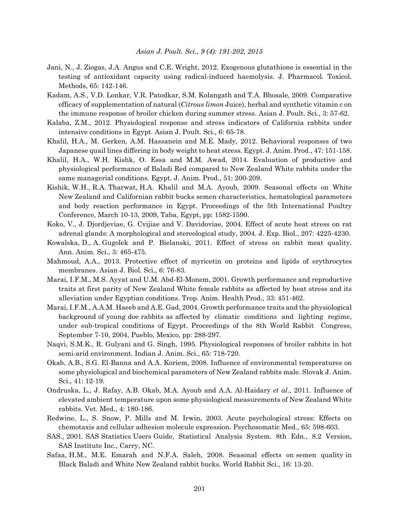- Jani, N., J. Ziogas, J.A. Angus and C.E. Wright, 2012. Exogenous glutathione is essential in the testing of antioxidant capacity using radical-induced haemolysis. J. Pharmacol. Toxicol. Methods, 65: 142-146.
- Kadam, A.S., V.D. Lonkar, V.R. Patodkar, S.M. Kolangath and T.A. Bhosale, 2009. Comparative efficacy of supplementation of natural (*Citrous limon* Juice), herbal and synthetic vitamin c on the immune response of broiler chicken during summer stress. Asian J. Poult. Sci., 3: 57-62.
- Kalaba, Z.M., 2012. Physiological response and stress indicators of California rabbits under intensive conditions in Egypt. Asian J. Poult. Sci., 6: 65-78.
- Khalil, H.A., M. Gerken, A.M. Hassanein and M.E. Mady, 2012. Behavioral responses of two Japanese quail lines differing in body weight to heat stress. Egypt. J. Anim. Prod., 47: 151-158.
- Khalil, H.A., W.H. Kishk, O. Essa and M.M. Awad, 2014. Evaluation of productive and physiological performance of Baladi Red compared to New Zealand White rabbits under the same managerial conditions. Egypt. J. Anim. Prod., 51: 200-209.
- Kishik, W.H., R.A. Tharwat, H.A. Khalil and M.A. Ayoub, 2009. Seasonal effects on White New Zealand and Californian rabbit bucks semen characteristics, hematological parameters and body reaction performance in Egypt. Proceedings of the 5th International Poultry Conference, March 10-13, 2009, Taba, Egypt, pp: 1582-1590.
- Koko, V., J. Djordjeviae, G. Cvijiae and V. Davidoviae, 2004. Effect of acute heat stress on rat adrenal glands: A morphological and stereological study, 2004. J. Exp. Biol., 207: 4225-4230.
- Kowalska, D., A. Gugolek and P. Bielanski, 2011. Effect of stress on rabbit meat quality. Ann. Anim. Sci., 3: 465-475.
- Mahmoud, A.A., 2013. Protective effect of myricetin on proteins and lipids of erythrocytes membranes. Asian J. Biol. Sci., 6: 76-83.
- Marai, I.F.M., M.S. Ayyat and U.M. Abd-El-Monem, 2001. Growth performance and reproductive traits at first parity of New Zealand White female rabbits as affected by heat stress and its alleviation under Egyptian conditions. Trop. Anim. Health Prod., 33: 451-462.
- Marai, I.F.M., A.A.M. Haeeb and A.E. Gad, 2004. Growth performance traits and the physiological background of young doe rabbits as affected by climatic conditions and lighting regime, under sub-tropical conditions of Egypt. Proceedings of the 8th World Rabbit Congress, September 7-10, 2004, Pueblo, Mexico, pp: 288-297.
- Naqvi, S.M.K., R. Gulyani and G. Singh, 1995. Physiological responses of broiler rabbits in hot semi-arid environment. Indian J. Anim. Sci., 65: 718-720.
- Okab, A.B., S.G. El-Banna and A.A. Koriem, 2008. Influence of environmental temperatures on some physiological and biochemical parameters of New Zealand rabbits male. Slovak J. Anim. Sci., 41: 12-19.
- Ondruska, L., J. Rafay, A.B. Okab, M.A. Ayoub and A.A. Al-Haidary *et al*., 2011. Influence of elevated ambient temperature upon some physiological measurements of New Zealand White rabbits. Vet. Med., 4: 180-186.
- Redwine, L., S. Snow, P. Mills and M. Irwin, 2003. Acute psychological stress: Effects on chemotaxis and cellular adhesion molecule expression. Psychosomatic Med., 65: 598-603.
- SAS., 2001. SAS Statistics Users Guide, Statistical Analysis System. 8th Edn., 8.2 Version, SAS Institute Inc., Carry, NC.
- Safaa, H.M., M.E. Emarah and N.F.A. Saleh, 2008. Seasonal effects on semen quality in Black Baladi and White New Zealand rabbit bucks. World Rabbit Sci., 16: 13-20.